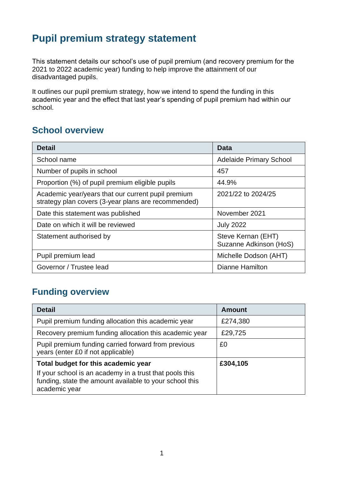# **Pupil premium strategy statement**

This statement details our school's use of pupil premium (and recovery premium for the 2021 to 2022 academic year) funding to help improve the attainment of our disadvantaged pupils.

It outlines our pupil premium strategy, how we intend to spend the funding in this academic year and the effect that last year's spending of pupil premium had within our school.

# **School overview**

| <b>Detail</b>                                                                                             | Data                                         |
|-----------------------------------------------------------------------------------------------------------|----------------------------------------------|
| School name                                                                                               | <b>Adelaide Primary School</b>               |
| Number of pupils in school                                                                                | 457                                          |
| Proportion (%) of pupil premium eligible pupils                                                           | 44.9%                                        |
| Academic year/years that our current pupil premium<br>strategy plan covers (3-year plans are recommended) | 2021/22 to 2024/25                           |
| Date this statement was published                                                                         | November 2021                                |
| Date on which it will be reviewed                                                                         | <b>July 2022</b>                             |
| Statement authorised by                                                                                   | Steve Kernan (EHT)<br>Suzanne Adkinson (HoS) |
| Pupil premium lead                                                                                        | Michelle Dodson (AHT)                        |
| Governor / Trustee lead                                                                                   | Dianne Hamilton                              |

# **Funding overview**

| <b>Detail</b>                                                                                                                       | <b>Amount</b> |
|-------------------------------------------------------------------------------------------------------------------------------------|---------------|
| Pupil premium funding allocation this academic year                                                                                 | £274,380      |
| Recovery premium funding allocation this academic year                                                                              | £29,725       |
| Pupil premium funding carried forward from previous<br>years (enter £0 if not applicable)                                           | £0            |
| Total budget for this academic year                                                                                                 | £304,105      |
| If your school is an academy in a trust that pools this<br>funding, state the amount available to your school this<br>academic year |               |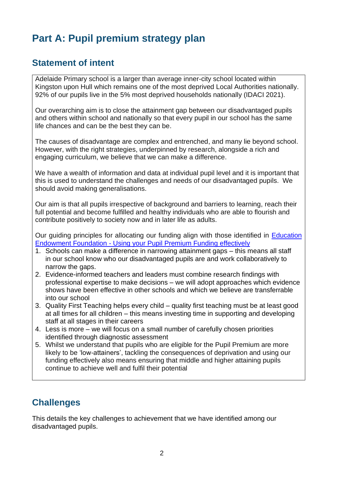# **Part A: Pupil premium strategy plan**

# **Statement of intent**

Adelaide Primary school is a larger than average inner-city school located within Kingston upon Hull which remains one of the most deprived Local Authorities nationally. 92% of our pupils live in the 5% most deprived households nationally (IDACI 2021).

Our overarching aim is to close the attainment gap between our disadvantaged pupils and others within school and nationally so that every pupil in our school has the same life chances and can be the best they can be.

The causes of disadvantage are complex and entrenched, and many lie beyond school. However, with the right strategies, underpinned by research, alongside a rich and engaging curriculum, we believe that we can make a difference.

We have a wealth of information and data at individual pupil level and it is important that this is used to understand the challenges and needs of our disadvantaged pupils. We should avoid making generalisations.

Our aim is that all pupils irrespective of background and barriers to learning, reach their full potential and become fulfilled and healthy individuals who are able to flourish and contribute positively to society now and in later life as adults.

Our guiding principles for allocating our funding align with those identified in [Education](https://educationendowmentfoundation.org.uk/guidance-for-teachers/using-pupil-premium)  Endowment Foundation - [Using your Pupil Premium Funding effectively](https://educationendowmentfoundation.org.uk/guidance-for-teachers/using-pupil-premium)

- 1. Schools can make a difference in narrowing attainment gaps this means all staff in our school know who our disadvantaged pupils are and work collaboratively to narrow the gaps.
- 2. Evidence-informed teachers and leaders must combine research findings with professional expertise to make decisions – we will adopt approaches which evidence shows have been effective in other schools and which we believe are transferrable into our school
- 3. Quality First Teaching helps every child quality first teaching must be at least good at all times for all children – this means investing time in supporting and developing staff at all stages in their careers
- 4. Less is more we will focus on a small number of carefully chosen priorities identified through diagnostic assessment
- 5. Whilst we understand that pupils who are eligible for the Pupil Premium are more likely to be 'low-attainers', tackling the consequences of deprivation and using our funding effectively also means ensuring that middle and higher attaining pupils continue to achieve well and fulfil their potential

# **Challenges**

This details the key challenges to achievement that we have identified among our disadvantaged pupils.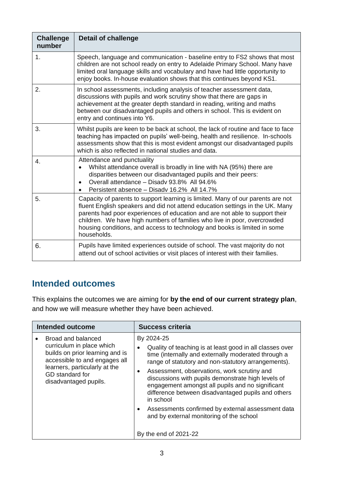| <b>Challenge</b><br>number | <b>Detail of challenge</b>                                                                                                                                                                                                                                                                                                                                                                                              |
|----------------------------|-------------------------------------------------------------------------------------------------------------------------------------------------------------------------------------------------------------------------------------------------------------------------------------------------------------------------------------------------------------------------------------------------------------------------|
| 1.                         | Speech, language and communication - baseline entry to FS2 shows that most<br>children are not school ready on entry to Adelaide Primary School. Many have<br>limited oral language skills and vocabulary and have had little opportunity to<br>enjoy books. In-house evaluation shows that this continues beyond KS1.                                                                                                  |
| 2.                         | In school assessments, including analysis of teacher assessment data,<br>discussions with pupils and work scrutiny show that there are gaps in<br>achievement at the greater depth standard in reading, writing and maths<br>between our disadvantaged pupils and others in school. This is evident on<br>entry and continues into Y6.                                                                                  |
| 3.                         | Whilst pupils are keen to be back at school, the lack of routine and face to face<br>teaching has impacted on pupils' well-being, health and resilience. In-schools<br>assessments show that this is most evident amongst our disadvantaged pupils<br>which is also reflected in national studies and data.                                                                                                             |
| 4.                         | Attendance and punctuality<br>Whilst attendance overall is broadly in line with NA (95%) there are<br>disparities between our disadvantaged pupils and their peers:<br>Overall attendance - Disady 93.8% All 94.6%<br>Persistent absence - Disady 16.2% All 14.7%                                                                                                                                                       |
| 5.                         | Capacity of parents to support learning is limited. Many of our parents are not<br>fluent English speakers and did not attend education settings in the UK. Many<br>parents had poor experiences of education and are not able to support their<br>children. We have high numbers of families who live in poor, overcrowded<br>housing conditions, and access to technology and books is limited in some<br>households. |
| 6.                         | Pupils have limited experiences outside of school. The vast majority do not<br>attend out of school activities or visit places of interest with their families.                                                                                                                                                                                                                                                         |

# **Intended outcomes**

This explains the outcomes we are aiming for **by the end of our current strategy plan**, and how we will measure whether they have been achieved.

| Intended outcome                                                                                                                                                                                 | <b>Success criteria</b>                                                                                                                                                                                                                                                                                                                                                                                                                                                                                                                                                           |
|--------------------------------------------------------------------------------------------------------------------------------------------------------------------------------------------------|-----------------------------------------------------------------------------------------------------------------------------------------------------------------------------------------------------------------------------------------------------------------------------------------------------------------------------------------------------------------------------------------------------------------------------------------------------------------------------------------------------------------------------------------------------------------------------------|
| Broad and balanced<br>curriculum in place which<br>builds on prior learning and is<br>accessible to and engages all<br>learners, particularly at the<br>GD standard for<br>disadvantaged pupils. | By 2024-25<br>Quality of teaching is at least good in all classes over<br>$\bullet$<br>time (internally and externally moderated through a<br>range of statutory and non-statutory arrangements).<br>Assessment, observations, work scrutiny and<br>$\bullet$<br>discussions with pupils demonstrate high levels of<br>engagement amongst all pupils and no significant<br>difference between disadvantaged pupils and others<br>in school<br>Assessments confirmed by external assessment data<br>$\bullet$<br>and by external monitoring of the school<br>By the end of 2021-22 |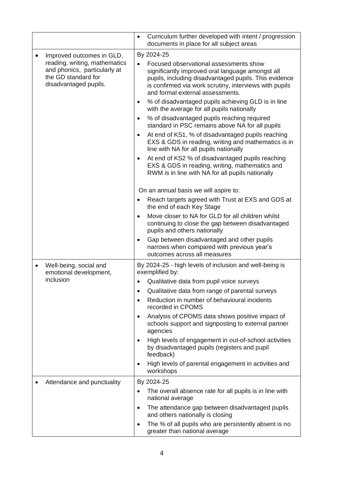|                                                                                                                                                         | Curriculum further developed with intent / progression<br>$\bullet$<br>documents in place for all subject areas                                                                                                                                                                                                                                                                                                                                                                                                                                                                                                                                                                                                                                                                                                                                                                                                                                                                                                                                                                                                       |
|---------------------------------------------------------------------------------------------------------------------------------------------------------|-----------------------------------------------------------------------------------------------------------------------------------------------------------------------------------------------------------------------------------------------------------------------------------------------------------------------------------------------------------------------------------------------------------------------------------------------------------------------------------------------------------------------------------------------------------------------------------------------------------------------------------------------------------------------------------------------------------------------------------------------------------------------------------------------------------------------------------------------------------------------------------------------------------------------------------------------------------------------------------------------------------------------------------------------------------------------------------------------------------------------|
| Improved outcomes in GLD,<br>$\bullet$<br>reading, writing, mathematics<br>and phonics, particularly at<br>the GD standard for<br>disadvantaged pupils. | By 2024-25<br>Focused observational assessments show<br>$\bullet$<br>significantly improved oral language amongst all<br>pupils, including disadvantaged pupils. This evidence<br>is confirmed via work scrutiny, interviews with pupils<br>and formal external assessments.<br>% of disadvantaged pupils achieving GLD is in line<br>$\bullet$<br>with the average for all pupils nationally<br>% of disadvantaged pupils reaching required<br>$\bullet$<br>standard in PSC remains above NA for all pupils<br>At end of KS1, % of disadvantaged pupils reaching<br>$\bullet$<br>EXS & GDS in reading, writing and mathematics is in<br>line with NA for all pupils nationally<br>At end of KS2 % of disadvantaged pupils reaching<br>$\bullet$<br>EXS & GDS in reading, writing, mathematics and<br>RWM is in line with NA for all pupils nationally<br>On an annual basis we will aspire to:<br>Reach targets agreed with Trust at EXS and GDS at<br>$\bullet$<br>the end of each Key Stage<br>Move closer to NA for GLD for all children whilst<br>$\bullet$<br>continuing to close the gap between disadvantaged |
|                                                                                                                                                         | pupils and others nationally<br>Gap between disadvantaged and other pupils<br>$\bullet$<br>narrows when compared with previous year's<br>outcomes across all measures                                                                                                                                                                                                                                                                                                                                                                                                                                                                                                                                                                                                                                                                                                                                                                                                                                                                                                                                                 |
| Well-being, social and<br>$\bullet$<br>emotional development,<br>inclusion                                                                              | By 2024-25 - high levels of inclusion and well-being is<br>exemplified by:<br>Qualitative data from pupil voice surveys<br>$\bullet$<br>Qualitative data from range of parental surveys<br>$\bullet$<br>Reduction in number of behavioural incidents<br>$\bullet$<br>recorded in CPOMS<br>Analysis of CPOMS data shows positive impact of<br>$\bullet$<br>schools support and signposting to external partner<br>agencies<br>High levels of engagement in out-of-school activities<br>$\bullet$<br>by disadvantaged pupils (registers and pupil<br>feedback)<br>High levels of parental engagement in activities and<br>$\bullet$<br>workshops                                                                                                                                                                                                                                                                                                                                                                                                                                                                        |
| Attendance and punctuality                                                                                                                              | By 2024-25<br>The overall absence rate for all pupils is in line with<br>national average<br>The attendance gap between disadvantaged pupils<br>$\bullet$<br>and others nationally is closing<br>The % of all pupils who are persistently absent is no<br>$\bullet$<br>greater than national average                                                                                                                                                                                                                                                                                                                                                                                                                                                                                                                                                                                                                                                                                                                                                                                                                  |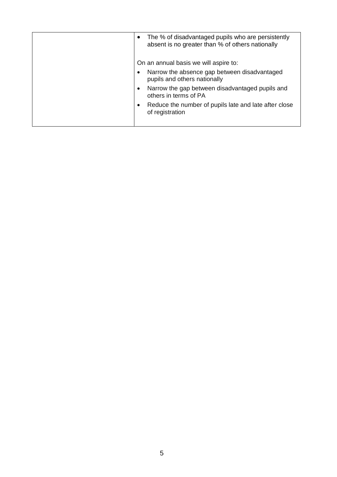| The % of disadvantaged pupils who are persistently<br>٠<br>absent is no greater than % of others nationally |
|-------------------------------------------------------------------------------------------------------------|
| On an annual basis we will aspire to:                                                                       |
| Narrow the absence gap between disadvantaged<br>$\bullet$<br>pupils and others nationally                   |
| Narrow the gap between disadvantaged pupils and<br>$\bullet$<br>others in terms of PA                       |
| Reduce the number of pupils late and late after close<br>٠<br>of registration                               |
|                                                                                                             |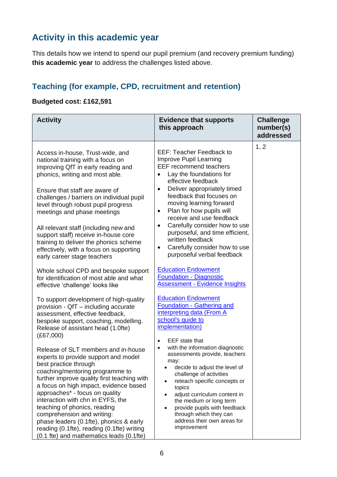# **Activity in this academic year**

This details how we intend to spend our pupil premium (and recovery premium funding) **this academic year** to address the challenges listed above.

## **Teaching (for example, CPD, recruitment and retention)**

## **Budgeted cost: £162,591**

| <b>Activity</b>                                                                                                                                                                                                                                                                                                                                                                                                                                                                                                                                  | <b>Evidence that supports</b><br>this approach                                                                                                                                                                                                                                                                                                                                                                                                                                                                                     | <b>Challenge</b><br>number(s)<br>addressed |
|--------------------------------------------------------------------------------------------------------------------------------------------------------------------------------------------------------------------------------------------------------------------------------------------------------------------------------------------------------------------------------------------------------------------------------------------------------------------------------------------------------------------------------------------------|------------------------------------------------------------------------------------------------------------------------------------------------------------------------------------------------------------------------------------------------------------------------------------------------------------------------------------------------------------------------------------------------------------------------------------------------------------------------------------------------------------------------------------|--------------------------------------------|
| Access in-house, Trust-wide, and<br>national training with a focus on<br>improving QfT in early reading and<br>phonics, writing and most able.<br>Ensure that staff are aware of<br>challenges / barriers on individual pupil<br>level through robust pupil progress<br>meetings and phase meetings<br>All relevant staff (including new and<br>support staff) receive in-house core<br>training to deliver the phonics scheme<br>effectively, with a focus on supporting<br>early career stage teachers<br>Whole school CPD and bespoke support | <b>EEF: Teacher Feedback to</b><br>Improve Pupil Learning<br><b>EEF recommend teachers</b><br>Lay the foundations for<br>effective feedback<br>Deliver appropriately timed<br>$\bullet$<br>feedback that focuses on<br>moving learning forward<br>Plan for how pupils will<br>$\bullet$<br>receive and use feedback<br>Carefully consider how to use<br>$\bullet$<br>purposeful, and time efficient,<br>written feedback<br>Carefully consider how to use<br>$\bullet$<br>purposeful verbal feedback<br><b>Education Endowment</b> | 1, 2                                       |
| for identification of most able and what<br>effective 'challenge' looks like                                                                                                                                                                                                                                                                                                                                                                                                                                                                     | <b>Foundation - Diagnostic</b><br><b>Assessment - Evidence Insights</b>                                                                                                                                                                                                                                                                                                                                                                                                                                                            |                                            |
| To support development of high-quality<br>provision - QfT - including accurate<br>assessment, effective feedback,<br>bespoke support, coaching, modelling.<br>Release of assistant head (1.0fte)<br>(E67,000)                                                                                                                                                                                                                                                                                                                                    | <b>Education Endowment</b><br><b>Foundation - Gathering and</b><br>interpreting data (From A<br>school's quide to<br><i>implementation)</i><br>EEF state that                                                                                                                                                                                                                                                                                                                                                                      |                                            |
| Release of SLT members and in-house<br>experts to provide support and model<br>best practice through<br>coaching/mentoring programme to<br>further improve quality first teaching with<br>a focus on high impact, evidence based<br>approaches* - focus on quality<br>interaction with chn in EYFS, the<br>teaching of phonics, reading<br>comprehension and writing:<br>phase leaders (0.1fte), phonics & early<br>reading (0.1fte), reading (0.1fte) writing<br>(0.1 fte) and mathematics leads (0.1fte)                                       | with the information diagnostic<br>$\bullet$<br>assessments provide, teachers<br>may:<br>decide to adjust the level of<br>challenge of activities<br>reteach specific concepts or<br>topics<br>adjust curriculum content in<br>the medium or long term<br>provide pupils with feedback<br>through which they can<br>address their own areas for<br>improvement                                                                                                                                                                     |                                            |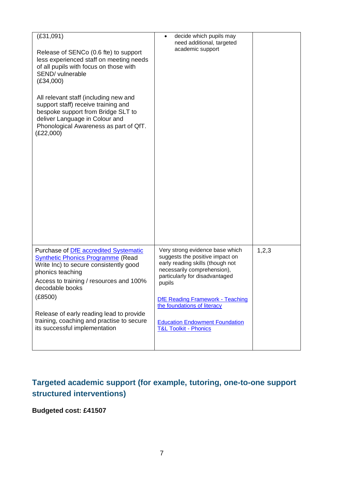| (E31,091)<br>Release of SENCo (0.6 fte) to support<br>less experienced staff on meeting needs<br>of all pupils with focus on those with<br>SEND/ vulnerable<br>(E34,000)                                      | decide which pupils may<br>need additional, targeted<br>academic support                                                                                                          |       |
|---------------------------------------------------------------------------------------------------------------------------------------------------------------------------------------------------------------|-----------------------------------------------------------------------------------------------------------------------------------------------------------------------------------|-------|
| All relevant staff (including new and<br>support staff) receive training and<br>bespoke support from Bridge SLT to<br>deliver Language in Colour and<br>Phonological Awareness as part of QfT.<br>(E22,000)   |                                                                                                                                                                                   |       |
|                                                                                                                                                                                                               |                                                                                                                                                                                   |       |
| Purchase of DfE accredited Systematic<br><b>Synthetic Phonics Programme (Read</b><br>Write Inc) to secure consistently good<br>phonics teaching<br>Access to training / resources and 100%<br>decodable books | Very strong evidence base which<br>suggests the positive impact on<br>early reading skills (though not<br>necessarily comprehension),<br>particularly for disadvantaged<br>pupils | 1,2,3 |
| (E8500)                                                                                                                                                                                                       | DfE Reading Framework - Teaching<br>the foundations of literacy                                                                                                                   |       |
| Release of early reading lead to provide<br>training, coaching and practise to secure<br>its successful implementation                                                                                        | <b>Education Endowment Foundation</b><br><b>T&amp;L Toolkit - Phonics</b>                                                                                                         |       |
|                                                                                                                                                                                                               |                                                                                                                                                                                   |       |

# **Targeted academic support (for example, tutoring, one-to-one support structured interventions)**

## **Budgeted cost: £41507**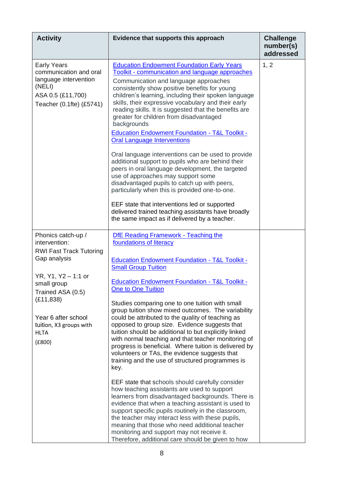| <b>Activity</b>                                                                                                                                                                                                                           | Evidence that supports this approach                                                                                                                                                                                                                                                                                                                                                                                                                                                                                                                                                                                                                                                                                                                                                                                                                                                                                                                                                                                                                                                                                                                                                                                                           | <b>Challenge</b><br>number(s)<br>addressed |
|-------------------------------------------------------------------------------------------------------------------------------------------------------------------------------------------------------------------------------------------|------------------------------------------------------------------------------------------------------------------------------------------------------------------------------------------------------------------------------------------------------------------------------------------------------------------------------------------------------------------------------------------------------------------------------------------------------------------------------------------------------------------------------------------------------------------------------------------------------------------------------------------------------------------------------------------------------------------------------------------------------------------------------------------------------------------------------------------------------------------------------------------------------------------------------------------------------------------------------------------------------------------------------------------------------------------------------------------------------------------------------------------------------------------------------------------------------------------------------------------------|--------------------------------------------|
| <b>Early Years</b><br>communication and oral<br>language intervention<br>(NELI)<br>ASA 0.5 (£11,700)<br>Teacher (0.1fte) (£5741)                                                                                                          | <b>Education Endowment Foundation Early Years</b><br>Toolkit - communication and language approaches<br>Communication and language approaches<br>consistently show positive benefits for young<br>children's learning, including their spoken language<br>skills, their expressive vocabulary and their early<br>reading skills. It is suggested that the benefits are<br>greater for children from disadvantaged<br>backgrounds<br><b>Education Endowment Foundation - T&amp;L Toolkit -</b><br><b>Oral Language Interventions</b><br>Oral language interventions can be used to provide<br>additional support to pupils who are behind their<br>peers in oral language development, the targeted<br>use of approaches may support some<br>disadvantaged pupils to catch up with peers,<br>particularly when this is provided one-to-one.<br>EEF state that interventions led or supported<br>delivered trained teaching assistants have broadly<br>the same impact as if delivered by a teacher.                                                                                                                                                                                                                                             | 1, 2                                       |
| Phonics catch-up /<br>intervention:<br><b>RWI Fast Track Tutoring</b><br>Gap analysis<br>YR, Y1, Y2 - 1:1 or<br>small group<br>Trained ASA (0.5)<br>(E11, 838)<br>Year 6 after school<br>tuition, X3 groups with<br><b>HLTA</b><br>(E800) | <b>DfE Reading Framework - Teaching the</b><br>foundations of literacy<br><b>Education Endowment Foundation - T&amp;L Toolkit -</b><br><b>Small Group Tuition</b><br><b>Education Endowment Foundation - T&amp;L Toolkit -</b><br><b>One to One Tuition</b><br>Studies comparing one to one tuition with small<br>group tuition show mixed outcomes. The variability<br>could be attributed to the quality of teaching as<br>opposed to group size. Evidence suggests that<br>tuition should be additional to but explicitly linked<br>with normal teaching and that teacher monitoring of<br>progress is beneficial. Where tuition is delivered by<br>volunteers or TAs, the evidence suggests that<br>training and the use of structured programmes is<br>key.<br>EEF state that schools should carefully consider<br>how teaching assistants are used to support<br>learners from disadvantaged backgrounds. There is<br>evidence that when a teaching assistant is used to<br>support specific pupils routinely in the classroom,<br>the teacher may interact less with these pupils,<br>meaning that those who need additional teacher<br>monitoring and support may not receive it.<br>Therefore, additional care should be given to how |                                            |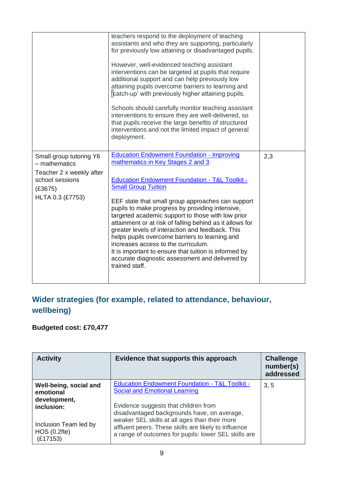|                                                                            | teachers respond to the deployment of teaching<br>assistants and who they are supporting, particularly<br>for previously low attaining or disadvantaged pupils.<br>However, well-evidenced teaching assistant<br>interventions can be targeted at pupils that require<br>additional support and can help previously low<br>attaining pupils overcome barriers to learning and<br>catch-up' with previously higher attaining pupils.<br>Schools should carefully monitor teaching assistant<br>interventions to ensure they are well-delivered, so<br>that pupils receive the large benefits of structured<br>interventions and not the limited impact of general<br>deployment. |     |
|----------------------------------------------------------------------------|---------------------------------------------------------------------------------------------------------------------------------------------------------------------------------------------------------------------------------------------------------------------------------------------------------------------------------------------------------------------------------------------------------------------------------------------------------------------------------------------------------------------------------------------------------------------------------------------------------------------------------------------------------------------------------|-----|
| Small group tutoring Y6<br>- mathematics                                   | <b>Education Endowment Foundation - Improving</b><br>mathematics in Key Stages 2 and 3                                                                                                                                                                                                                                                                                                                                                                                                                                                                                                                                                                                          | 2,3 |
| Teacher 2 x weekly after<br>school sessions<br>(E3675)<br>HLTA 0.3 (£7753) | <b>Education Endowment Foundation - T&amp;L Toolkit -</b><br><b>Small Group Tuition</b><br>EEF state that small group approaches can support<br>pupils to make progress by providing intensive,<br>targeted academic support to those with low prior<br>attainment or at risk of falling behind as it allows for<br>greater levels of interaction and feedback. This<br>helps pupils overcome barriers to learning and<br>increases access to the curriculum.<br>It is important to ensure that tuition is informed by<br>accurate diagnostic assessment and delivered by<br>trained staff.                                                                                     |     |

# **Wider strategies (for example, related to attendance, behaviour, wellbeing)**

# **Budgeted cost: £70,477**

| <b>Activity</b>                                     | Evidence that supports this approach                                                                                                                                                                                                                 | <b>Challenge</b><br>number(s)<br>addressed |
|-----------------------------------------------------|------------------------------------------------------------------------------------------------------------------------------------------------------------------------------------------------------------------------------------------------------|--------------------------------------------|
| Well-being, social and<br>emotional<br>development, | <b>Education Endowment Foundation - T&amp;L Toolkit -</b><br><b>Social and Emotional Learning</b>                                                                                                                                                    | 3, 5                                       |
| inclusion:<br>Inclusion Team led by<br>HOS(0.2fte)  | Evidence suggests that children from<br>disadvantaged backgrounds have, on average,<br>weaker SEL skills at all ages than their more<br>affluent peers. These skills are likely to influence<br>a range of outcomes for pupils: lower SEL skills are |                                            |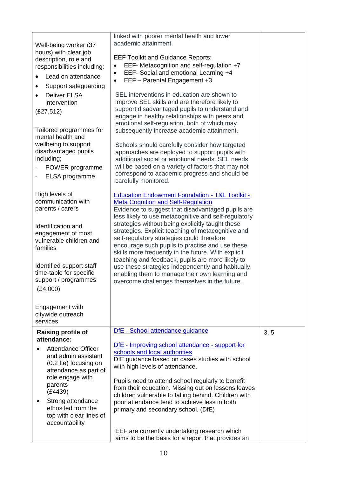|                                              | linked with poorer mental health and lower                                                             |      |
|----------------------------------------------|--------------------------------------------------------------------------------------------------------|------|
| Well-being worker (37                        | academic attainment.                                                                                   |      |
| hours) with clear job                        | <b>EEF Toolkit and Guidance Reports:</b>                                                               |      |
| description, role and                        | EEF- Metacognition and self-regulation +7                                                              |      |
| responsibilities including:                  | EEF- Social and emotional Learning +4<br>$\bullet$                                                     |      |
| Lead on attendance                           | EEF - Parental Engagement +3<br>$\bullet$                                                              |      |
| Support safeguarding<br>$\bullet$            |                                                                                                        |      |
| <b>Deliver ELSA</b>                          | SEL interventions in education are shown to                                                            |      |
| intervention                                 | improve SEL skills and are therefore likely to<br>support disadvantaged pupils to understand and       |      |
| (E27, 512)                                   | engage in healthy relationships with peers and                                                         |      |
|                                              | emotional self-regulation, both of which may                                                           |      |
| Tailored programmes for                      | subsequently increase academic attainment.                                                             |      |
| mental health and                            |                                                                                                        |      |
| wellbeing to support<br>disadvantaged pupils | Schools should carefully consider how targeted<br>approaches are deployed to support pupils with       |      |
| including;                                   | additional social or emotional needs. SEL needs                                                        |      |
| POWER programme                              | will be based on a variety of factors that may not                                                     |      |
| ELSA programme                               | correspond to academic progress and should be                                                          |      |
|                                              | carefully monitored.                                                                                   |      |
| High levels of                               | <b>Education Endowment Foundation - T&amp;L Toolkit -</b>                                              |      |
| communication with                           | <b>Meta Cognition and Self-Regulation</b>                                                              |      |
| parents / carers                             | Evidence to suggest that disadvantaged pupils are                                                      |      |
|                                              | less likely to use metacognitive and self-regulatory                                                   |      |
| Identification and                           | strategies without being explicitly taught these<br>strategies. Explicit teaching of metacognitive and |      |
| engagement of most                           | self-regulatory strategies could therefore                                                             |      |
| vulnerable children and<br>families          | encourage such pupils to practise and use these                                                        |      |
|                                              | skills more frequently in the future. With explicit                                                    |      |
| Identified support staff                     | teaching and feedback, pupils are more likely to                                                       |      |
| time-table for specific                      | use these strategies independently and habitually,<br>enabling them to manage their own learning and   |      |
| support / programmes                         | overcome challenges themselves in the future.                                                          |      |
| (E4,000)                                     |                                                                                                        |      |
|                                              |                                                                                                        |      |
| Engagement with                              |                                                                                                        |      |
| citywide outreach                            |                                                                                                        |      |
| services                                     |                                                                                                        |      |
| <b>Raising profile of</b>                    | DfE - School attendance guidance                                                                       | 3, 5 |
| attendance:                                  | DfE - Improving school attendance - support for                                                        |      |
| <b>Attendance Officer</b>                    | schools and local authorities                                                                          |      |
| and admin assistant<br>(0.2 fte) focusing on | DfE guidance based on cases studies with school                                                        |      |
| attendance as part of                        | with high levels of attendance.                                                                        |      |
| role engage with                             | Pupils need to attend school regularly to benefit                                                      |      |
| parents                                      | from their education. Missing out on lessons leaves                                                    |      |
| (E4439)                                      | children vulnerable to falling behind. Children with                                                   |      |
| Strong attendance<br>ethos led from the      | poor attendance tend to achieve less in both                                                           |      |
| top with clear lines of                      | primary and secondary school. (DfE)                                                                    |      |
| accountability                               |                                                                                                        |      |
|                                              | EEF are currently undertaking research which                                                           |      |
|                                              | aims to be the basis for a report that provides an                                                     |      |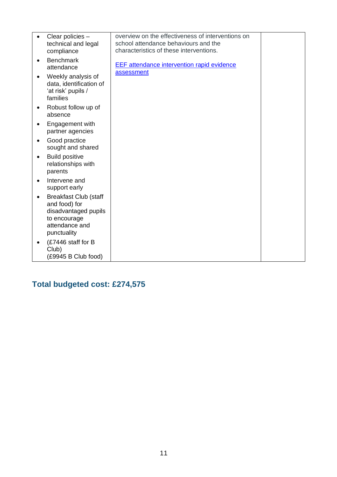|           | Clear policies -<br>technical and legal<br>compliance                                                                  | overview on the effectiveness of interventions on<br>school attendance behaviours and the<br>characteristics of these interventions. |  |
|-----------|------------------------------------------------------------------------------------------------------------------------|--------------------------------------------------------------------------------------------------------------------------------------|--|
| $\bullet$ | <b>Benchmark</b><br>attendance                                                                                         | <b>EEF</b> attendance intervention rapid evidence<br>assessment                                                                      |  |
|           | Weekly analysis of<br>data, identification of<br>'at risk' pupils /<br>families                                        |                                                                                                                                      |  |
| $\bullet$ | Robust follow up of<br>absence                                                                                         |                                                                                                                                      |  |
| $\bullet$ | Engagement with<br>partner agencies                                                                                    |                                                                                                                                      |  |
| $\bullet$ | Good practice<br>sought and shared                                                                                     |                                                                                                                                      |  |
| $\bullet$ | <b>Build positive</b><br>relationships with<br>parents                                                                 |                                                                                                                                      |  |
| $\bullet$ | Intervene and<br>support early                                                                                         |                                                                                                                                      |  |
| $\bullet$ | <b>Breakfast Club (staff</b><br>and food) for<br>disadvantaged pupils<br>to encourage<br>attendance and<br>punctuality |                                                                                                                                      |  |
|           | (£7446 staff for B<br>Club)<br>(£9945 B Club food)                                                                     |                                                                                                                                      |  |

**Total budgeted cost: £274,575**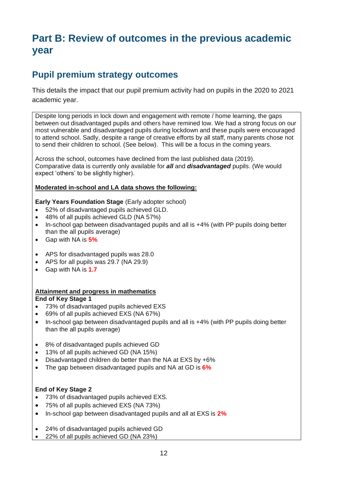# **Part B: Review of outcomes in the previous academic year**

# **Pupil premium strategy outcomes**

This details the impact that our pupil premium activity had on pupils in the 2020 to 2021 academic year.

Despite long periods in lock down and engagement with remote / home learning, the gaps between out disadvantaged pupils and others have remined low. We had a strong focus on our most vulnerable and disadvantaged pupils during lockdown and these pupils were encouraged to attend school. Sadly, despite a range of creative efforts by all staff, many parents chose not to send their children to school. (See below). This will be a focus in the coming years.

Across the school, outcomes have declined from the last published data (2019). Comparative data is currently only available for *all* and *disadvantaged* pupils. (We would expect 'others' to be slightly higher).

### **Moderated in-school and LA data shows the following:**

**Early Years Foundation Stage** (Early adopter school)

- 52% of disadvantaged pupils achieved GLD.
- 48% of all pupils achieved GLD (NA 57%)
- In-school gap between disadvantaged pupils and all is +4% (with PP pupils doing better than the all pupils average)
- Gap with NA is **5%**
- APS for disadvantaged pupils was 28.0
- APS for all pupils was 29.7 (NA 29.9)
- Gap with NA is **1.7**

#### **Attainment and progress in mathematics End of Key Stage 1**

- 73% of disadvantaged pupils achieved EXS
- 69% of all pupils achieved EXS (NA 67%)
- In-school gap between disadvantaged pupils and all is +4% (with PP pupils doing better than the all pupils average)
- 8% of disadvantaged pupils achieved GD
- 13% of all pupils achieved GD (NA 15%)
- Disadvantaged children do better than the NA at EXS by +6%
- The gap between disadvantaged pupils and NA at GD is **6%**

## **End of Key Stage 2**

- 73% of disadvantaged pupils achieved EXS.
- 75% of all pupils achieved EXS (NA 73%)
- In-school gap between disadvantaged pupils and all at EXS is **2%**
- 24% of disadvantaged pupils achieved GD
- 22% of all pupils achieved GD (NA 23%)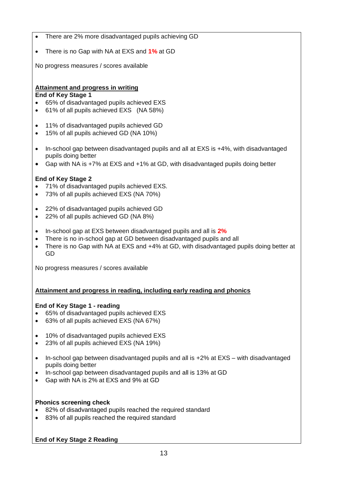- There are 2% more disadvantaged pupils achieving GD
- There is no Gap with NA at EXS and **1%** at GD

No progress measures / scores available

### **Attainment and progress in writing End of Key Stage 1**

- 65% of disadvantaged pupils achieved EXS
- 61% of all pupils achieved EXS (NA 58%)
- 11% of disadvantaged pupils achieved GD
- 15% of all pupils achieved GD (NA 10%)
- In-school gap between disadvantaged pupils and all at EXS is +4%, with disadvantaged pupils doing better
- Gap with NA is +7% at EXS and +1% at GD, with disadvantaged pupils doing better

### **End of Key Stage 2**

- 71% of disadvantaged pupils achieved EXS.
- 73% of all pupils achieved EXS (NA 70%)
- 22% of disadvantaged pupils achieved GD
- 22% of all pupils achieved GD (NA 8%)
- In-school gap at EXS between disadvantaged pupils and all is **2%**
- There is no in-school gap at GD between disadvantaged pupils and all
- There is no Gap with NA at EXS and  $+4\%$  at GD, with disadvantaged pupils doing better at GD

No progress measures / scores available

### **Attainment and progress in reading, including early reading and phonics**

### **End of Key Stage 1 - reading**

- 65% of disadvantaged pupils achieved EXS
- 63% of all pupils achieved EXS (NA 67%)
- 10% of disadvantaged pupils achieved EXS
- 23% of all pupils achieved EXS (NA 19%)
- In-school gap between disadvantaged pupils and all is +2% at EXS with disadvantaged pupils doing better
- In-school gap between disadvantaged pupils and all is 13% at GD
- Gap with NA is 2% at EXS and 9% at GD

### **Phonics screening check**

- 82% of disadvantaged pupils reached the required standard
- 83% of all pupils reached the required standard

**End of Key Stage 2 Reading**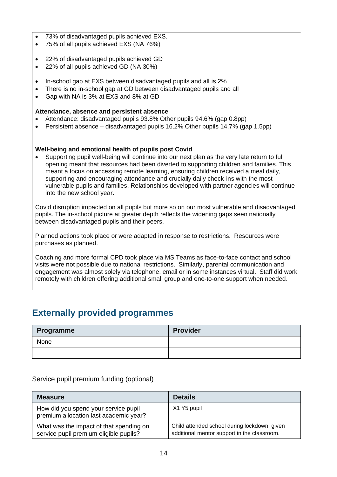- 73% of disadvantaged pupils achieved EXS.
- 75% of all pupils achieved EXS (NA 76%)
- 22% of disadvantaged pupils achieved GD
- 22% of all pupils achieved GD (NA 30%)
- In-school gap at EXS between disadvantaged pupils and all is 2%
- There is no in-school gap at GD between disadvantaged pupils and all
- Gap with NA is 3% at EXS and 8% at GD

### **Attendance, absence and persistent absence**

- Attendance: disadvantaged pupils 93.8% Other pupils 94.6% (gap 0.8pp)
- Persistent absence disadvantaged pupils 16.2% Other pupils 14.7% (gap 1.5pp)

### **Well-being and emotional health of pupils post Covid**

• Supporting pupil well-being will continue into our next plan as the very late return to full opening meant that resources had been diverted to supporting children and families. This meant a focus on accessing remote learning, ensuring children received a meal daily, supporting and encouraging attendance and crucially daily check-ins with the most vulnerable pupils and families. Relationships developed with partner agencies will continue into the new school year.

Covid disruption impacted on all pupils but more so on our most vulnerable and disadvantaged pupils. The in-school picture at greater depth reflects the widening gaps seen nationally between disadvantaged pupils and their peers.

Planned actions took place or were adapted in response to restrictions. Resources were purchases as planned.

Coaching and more formal CPD took place via MS Teams as face-to-face contact and school visits were not possible due to national restrictions. Similarly, parental communication and engagement was almost solely via telephone, email or in some instances virtual. Staff did work remotely with children offering additional small group and one-to-one support when needed.

## **Externally provided programmes**

| Programme | <b>Provider</b> |
|-----------|-----------------|
| None      |                 |
|           |                 |

### Service pupil premium funding (optional)

| <b>Measure</b>                                                                    | <b>Details</b>                                                                              |
|-----------------------------------------------------------------------------------|---------------------------------------------------------------------------------------------|
| How did you spend your service pupil<br>premium allocation last academic year?    | X1 Y5 pupil                                                                                 |
| What was the impact of that spending on<br>service pupil premium eligible pupils? | Child attended school during lockdown, given<br>additional mentor support in the classroom. |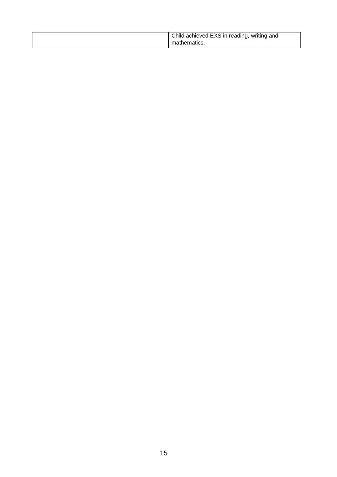|  | Child achieved EXS in reading, writing and<br>mathematics. |
|--|------------------------------------------------------------|
|--|------------------------------------------------------------|